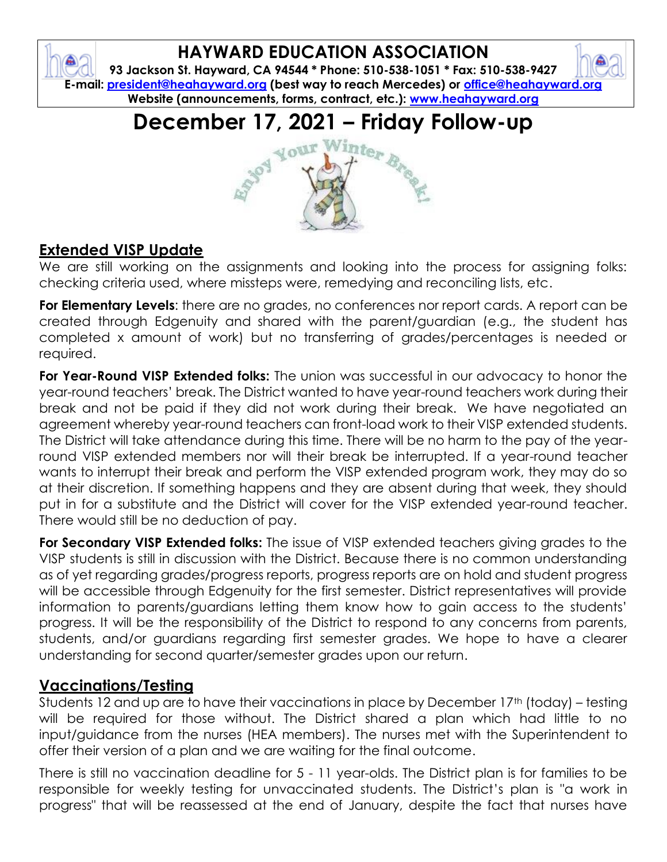

**93 Jackson St. Hayward, CA 94544 \* Phone: 510-538-1051 \* Fax: 510-538-9427 E-mail: [president@heahayward.org](mailto:president@heahayward.org) (best way to reach Mercedes) or [office@heahayward.org](mailto:office@heahayward.org) Website (announcements, forms, contract, etc.): [www.heahayward.org](http://www.heahayward.org/)**

## **December 17, 2021 – Friday Follow-up**

# YOUR

#### **Extended VISP Update**

We are still working on the assignments and looking into the process for assigning folks: checking criteria used, where missteps were, remedying and reconciling lists, etc.

**For Elementary Levels**: there are no grades, no conferences nor report cards. A report can be created through Edgenuity and shared with the parent/guardian (e.g., the student has completed x amount of work) but no transferring of grades/percentages is needed or required.

**For Year-Round VISP Extended folks:** The union was successful in our advocacy to honor the year-round teachers' break. The District wanted to have year-round teachers work during their break and not be paid if they did not work during their break. We have negotiated an agreement whereby year-round teachers can front-load work to their VISP extended students. The District will take attendance during this time. There will be no harm to the pay of the yearround VISP extended members nor will their break be interrupted. If a year-round teacher wants to interrupt their break and perform the VISP extended program work, they may do so at their discretion. If something happens and they are absent during that week, they should put in for a substitute and the District will cover for the VISP extended year-round teacher. There would still be no deduction of pay.

**For Secondary VISP Extended folks:** The issue of VISP extended teachers giving grades to the VISP students is still in discussion with the District. Because there is no common understanding as of yet regarding grades/progress reports, progress reports are on hold and student progress will be accessible through Edgenuity for the first semester. District representatives will provide information to parents/guardians letting them know how to gain access to the students' progress. It will be the responsibility of the District to respond to any concerns from parents, students, and/or guardians regarding first semester grades. We hope to have a clearer understanding for second quarter/semester grades upon our return.

#### **Vaccinations/Testing**

Students 12 and up are to have their vaccinations in place by December 17<sup>th</sup> (today) – testing will be required for those without. The District shared a plan which had little to no input/guidance from the nurses (HEA members). The nurses met with the Superintendent to offer their version of a plan and we are waiting for the final outcome.

There is still no vaccination deadline for 5 - 11 year-olds. The District plan is for families to be responsible for weekly testing for unvaccinated students. The District's plan is "a work in progress" that will be reassessed at the end of January, despite the fact that nurses have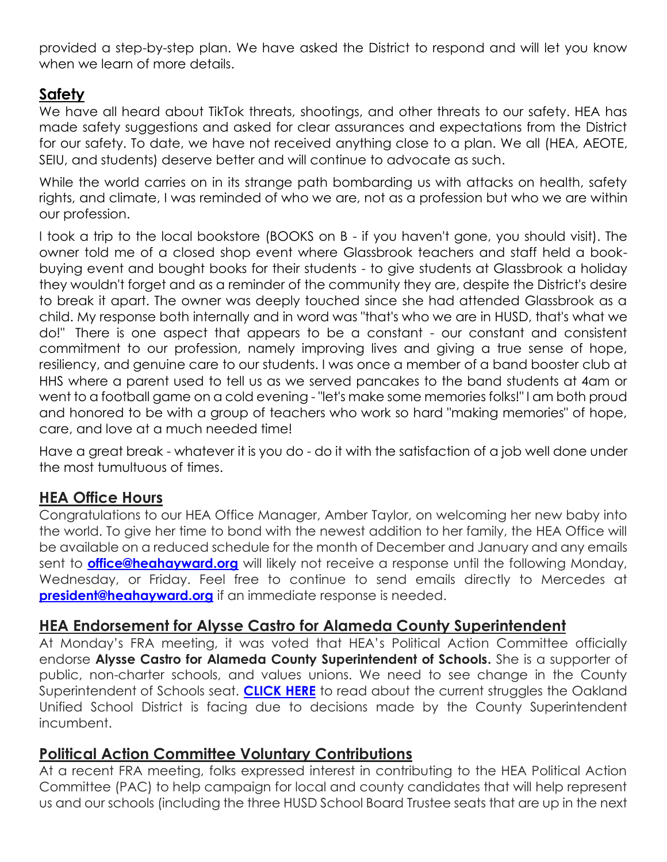provided a step-by-step plan. We have asked the District to respond and will let you know when we learn of more details.

#### **Safety**

We have all heard about TikTok threats, shootings, and other threats to our safety. HEA has made safety suggestions and asked for clear assurances and expectations from the District for our safety. To date, we have not received anything close to a plan. We all (HEA, AEOTE, SEIU, and students) deserve better and will continue to advocate as such.

While the world carries on in its strange path bombarding us with attacks on health, safety rights, and climate, I was reminded of who we are, not as a profession but who we are within our profession.

I took a trip to the local bookstore (BOOKS on B - if you haven't gone, you should visit). The owner told me of a closed shop event where Glassbrook teachers and staff held a bookbuying event and bought books for their students - to give students at Glassbrook a holiday they wouldn't forget and as a reminder of the community they are, despite the District's desire to break it apart. The owner was deeply touched since she had attended Glassbrook as a child. My response both internally and in word was "that's who we are in HUSD, that's what we do!" There is one aspect that appears to be a constant - our constant and consistent commitment to our profession, namely improving lives and giving a true sense of hope, resiliency, and genuine care to our students. I was once a member of a band booster club at HHS where a parent used to tell us as we served pancakes to the band students at 4am or went to a football game on a cold evening - "let's make some memories folks!" I am both proud and honored to be with a group of teachers who work so hard "making memories" of hope, care, and love at a much needed time!

Have a great break - whatever it is you do - do it with the satisfaction of a job well done under the most tumultuous of times.

#### **HEA Office Hours**

Congratulations to our HEA Office Manager, Amber Taylor, on welcoming her new baby into the world. To give her time to bond with the newest addition to her family, the HEA Office will be available on a reduced schedule for the month of December and January and any emails sent to **[office@heahayward.org](mailto:office@heahayward.org)** will likely not receive a response until the following Monday, Wednesday, or Friday. Feel free to continue to send emails directly to Mercedes at **[president@heahayward.org](mailto:president@heahayward.org)** if an immediate response is needed.

#### **HEA Endorsement for Alysse Castro for Alameda County Superintendent**

At Monday's FRA meeting, it was voted that HEA's Political Action Committee officially endorse **Alysse Castro for Alameda County Superintendent of Schools.** She is a supporter of public, non-charter schools, and values unions. We need to see change in the County Superintendent of Schools seat. **[CLICK HERE](https://www.postnewsgroup.com/school-district-faces-hostile-takeover-by-state-overseers/)** to read about the current struggles the Oakland Unified School District is facing due to decisions made by the County Superintendent incumbent.

#### **Political Action Committee Voluntary Contributions**

At a recent FRA meeting, folks expressed interest in contributing to the HEA Political Action Committee (PAC) to help campaign for local and county candidates that will help represent us and our schools (including the three HUSD School Board Trustee seats that are up in the next